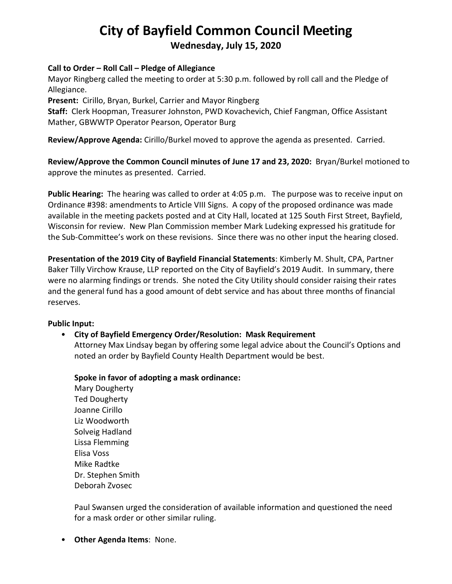# **City of Bayfield Common Council Meeting**

# **Wednesday, July 15, 2020**

#### **Call to Order – Roll Call – Pledge of Allegiance**

Mayor Ringberg called the meeting to order at 5:30 p.m. followed by roll call and the Pledge of Allegiance.

**Present:** Cirillo, Bryan, Burkel, Carrier and Mayor Ringberg

**Staff:** Clerk Hoopman, Treasurer Johnston, PWD Kovachevich, Chief Fangman, Office Assistant Mather, GBWWTP Operator Pearson, Operator Burg

**Review/Approve Agenda:** Cirillo/Burkel moved to approve the agenda as presented. Carried.

**Review/Approve the Common Council minutes of June 17 and 23, 2020:** Bryan/Burkel motioned to approve the minutes as presented. Carried.

**Public Hearing:** The hearing was called to order at 4:05 p.m. The purpose was to receive input on Ordinance #398: amendments to Article VIII Signs. A copy of the proposed ordinance was made available in the meeting packets posted and at City Hall, located at 125 South First Street, Bayfield, Wisconsin for review. New Plan Commission member Mark Ludeking expressed his gratitude for the Sub-Committee's work on these revisions. Since there was no other input the hearing closed.

**Presentation of the 2019 City of Bayfield Financial Statements**: Kimberly M. Shult, CPA, Partner Baker Tilly Virchow Krause, LLP reported on the City of Bayfield's 2019 Audit. In summary, there were no alarming findings or trends. She noted the City Utility should consider raising their rates and the general fund has a good amount of debt service and has about three months of financial reserves.

#### **Public Input:**

# • **City of Bayfield Emergency Order/Resolution: Mask Requirement**

Attorney Max Lindsay began by offering some legal advice about the Council's Options and noted an order by Bayfield County Health Department would be best.

**Spoke in favor of adopting a mask ordinance:**

Mary Dougherty Ted Dougherty Joanne Cirillo Liz Woodworth Solveig Hadland Lissa Flemming Elisa Voss Mike Radtke Dr. Stephen Smith Deborah Zvosec

Paul Swansen urged the consideration of available information and questioned the need for a mask order or other similar ruling.

• **Other Agenda Items**: None.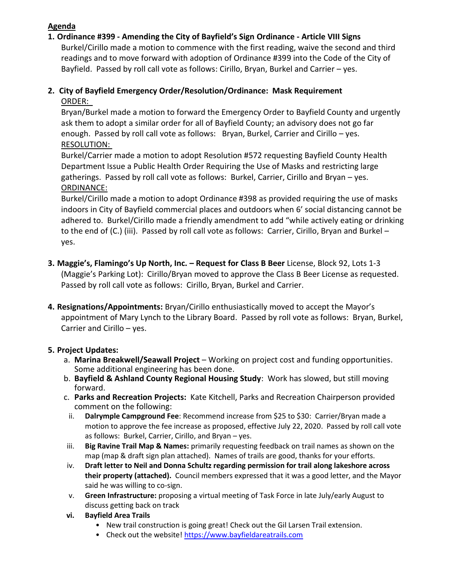## **Agenda**

## **1. Ordinance #399 - Amending the City of Bayfield's Sign Ordinance - Article VIII Signs**

Burkel/Cirillo made a motion to commence with the first reading, waive the second and third readings and to move forward with adoption of Ordinance #399 into the Code of the City of Bayfield. Passed by roll call vote as follows: Cirillo, Bryan, Burkel and Carrier – yes.

## **2. City of Bayfield Emergency Order/Resolution/Ordinance: Mask Requirement** ORDER:

Bryan/Burkel made a motion to forward the Emergency Order to Bayfield County and urgently ask them to adopt a similar order for all of Bayfield County; an advisory does not go far enough. Passed by roll call vote as follows: Bryan, Burkel, Carrier and Cirillo – yes. RESOLUTION:

Burkel/Carrier made a motion to adopt Resolution #572 requesting Bayfield County Health Department Issue a Public Health Order Requiring the Use of Masks and restricting large gatherings. Passed by roll call vote as follows: Burkel, Carrier, Cirillo and Bryan – yes. ORDINANCE:

Burkel/Cirillo made a motion to adopt Ordinance #398 as provided requiring the use of masks indoors in City of Bayfield commercial places and outdoors when 6' social distancing cannot be adhered to. Burkel/Cirillo made a friendly amendment to add "while actively eating or drinking to the end of (C.) (iii). Passed by roll call vote as follows: Carrier, Cirillo, Bryan and Burkel – yes.

- **3. Maggie's, Flamingo's Up North, Inc. – Request for Class B Beer** License, Block 92, Lots 1-3 (Maggie's Parking Lot): Cirillo/Bryan moved to approve the Class B Beer License as requested. Passed by roll call vote as follows: Cirillo, Bryan, Burkel and Carrier.
- **4. Resignations/Appointments:** Bryan/Cirillo enthusiastically moved to accept the Mayor's appointment of Mary Lynch to the Library Board. Passed by roll vote as follows: Bryan, Burkel, Carrier and Cirillo – yes.

# **5. Project Updates:**

- a. **Marina Breakwell/Seawall Project** Working on project cost and funding opportunities. Some additional engineering has been done.
- b. **Bayfield & Ashland County Regional Housing Study**: Work has slowed, but still moving forward.
- c. **Parks and Recreation Projects:** Kate Kitchell, Parks and Recreation Chairperson provided comment on the following:
- ii. **Dalrymple Campground Fee**: Recommend increase from \$25 to \$30: Carrier/Bryan made a motion to approve the fee increase as proposed, effective July 22, 2020. Passed by roll call vote as follows: Burkel, Carrier, Cirillo, and Bryan – yes.
- iii. **Big Ravine Trail Map & Names:** primarily requesting feedback on trail names as shown on the map (map & draft sign plan attached). Names of trails are good, thanks for your efforts.
- iv. **Draft letter to Neil and Donna Schultz regarding permission for trail along lakeshore across their property (attached).** Council members expressed that it was a good letter, and the Mayor said he was willing to co-sign.
- v. **Green Infrastructure:** proposing a virtual meeting of Task Force in late July/early August to discuss getting back on track
- **vi. Bayfield Area Trails**
	- New trail construction is going great! Check out the Gil Larsen Trail extension.
	- Check out the website! [https://www.bayfieldareatrails.com](https://www.bayfieldareatrails.com/)